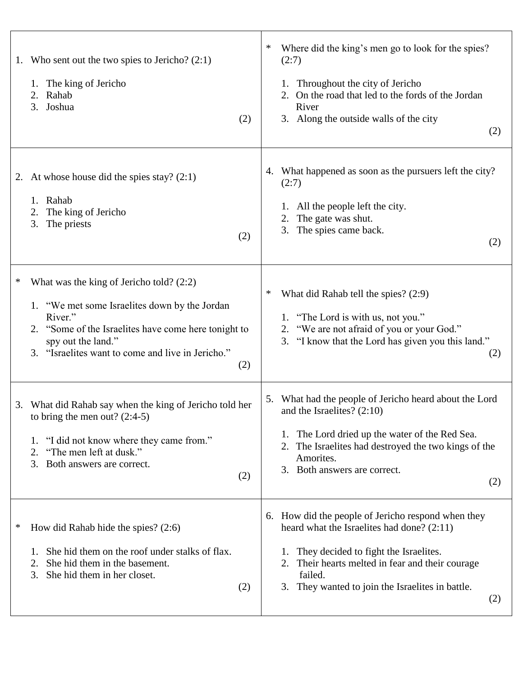| 1. Who sent out the two spies to Jericho? $(2:1)$<br>1. The king of Jericho<br>2. Rahab<br>3. Joshua<br>(2)                                                                                                                                                | Where did the king's men go to look for the spies?<br>(2:7)<br>Throughout the city of Jericho<br>1.<br>On the road that led to the fords of the Jordan<br>2.<br>River<br>3. Along the outside walls of the city<br>(2)                                                          |
|------------------------------------------------------------------------------------------------------------------------------------------------------------------------------------------------------------------------------------------------------------|---------------------------------------------------------------------------------------------------------------------------------------------------------------------------------------------------------------------------------------------------------------------------------|
| At whose house did the spies stay? $(2:1)$<br>2.<br>1. Rahab<br>The king of Jericho<br>2.<br>The priests<br>3.<br>(2)                                                                                                                                      | 4. What happened as soon as the pursuers left the city?<br>(2:7)<br>All the people left the city.<br>1.<br>The gate was shut.<br>2.<br>3.<br>The spies came back.<br>(2)                                                                                                        |
| $\ast$<br>What was the king of Jericho told? $(2:2)$<br>1. "We met some Israelites down by the Jordan<br>River."<br>2. "Some of the Israelites have come here tonight to<br>spy out the land."<br>3. "Israelites want to come and live in Jericho."<br>(2) | What did Rahab tell the spies? (2:9)<br>∗<br>1. "The Lord is with us, not you."<br>"We are not afraid of you or your God."<br>2.<br>3. "I know that the Lord has given you this land."<br>(2)                                                                                   |
| 3. What did Rahab say when the king of Jericho told her<br>to bring the men out? $(2:4-5)$<br>"I did not know where they came from."<br>1.<br>"The men left at dusk."<br>2.<br>3.<br>Both answers are correct.<br>(2)                                      | 5. What had the people of Jericho heard about the Lord<br>and the Israelites? $(2:10)$<br>The Lord dried up the water of the Red Sea.<br>1.<br>The Israelites had destroyed the two kings of the<br>2.<br>Amorites.<br>3. Both answers are correct.<br>(2)                      |
| How did Rahab hide the spies? $(2:6)$<br>∗<br>She hid them on the roof under stalks of flax.<br>She hid them in the basement.<br>2.<br>She hid them in her closet.<br>3.<br>(2)                                                                            | 6. How did the people of Jericho respond when they<br>heard what the Israelites had done? (2:11)<br>They decided to fight the Israelites.<br>1.<br>Their hearts melted in fear and their courage<br>2.<br>failed.<br>3.<br>They wanted to join the Israelites in battle.<br>(2) |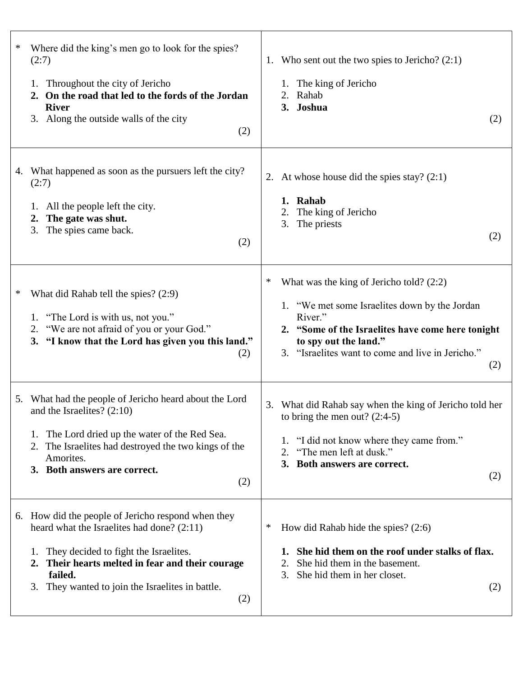| Where did the king's men go to look for the spies?<br>∗<br>(2:7)<br>1. Throughout the city of Jericho<br>2. On the road that led to the fords of the Jordan<br><b>River</b><br>3. Along the outside walls of the city<br>(2)                                                    | 1. Who sent out the two spies to Jericho? $(2:1)$<br>1. The king of Jericho<br>Rahab<br>3. Joshua<br>(2)                                                                                                                                              |
|---------------------------------------------------------------------------------------------------------------------------------------------------------------------------------------------------------------------------------------------------------------------------------|-------------------------------------------------------------------------------------------------------------------------------------------------------------------------------------------------------------------------------------------------------|
| 4. What happened as soon as the pursuers left the city?<br>(2:7)<br>1. All the people left the city.<br>The gate was shut.<br>2.<br>The spies came back.<br>3.<br>(2)                                                                                                           | 2. At whose house did the spies stay? $(2:1)$<br>Rahab<br>1.<br>The king of Jericho<br>The priests<br>3.<br>(2)                                                                                                                                       |
| What did Rahab tell the spies? (2:9)<br>∗<br>"The Lord is with us, not you."<br>1.<br>"We are not afraid of you or your God."<br>2.<br>"I know that the Lord has given you this land."<br>3.<br>(2)                                                                             | ∗<br>What was the king of Jericho told? $(2:2)$<br>1. "We met some Israelites down by the Jordan<br>River."<br>2. "Some of the Israelites have come here tonight<br>to spy out the land."<br>3. "Israelites want to come and live in Jericho."<br>(2) |
| What had the people of Jericho heard about the Lord<br>5.<br>and the Israelites? $(2:10)$<br>The Lord dried up the water of the Red Sea.<br>1.<br>The Israelites had destroyed the two kings of the<br>2.<br>Amorites.<br>3. Both answers are correct.<br>(2)                   | 3. What did Rahab say when the king of Jericho told her<br>to bring the men out? $(2:4-5)$<br>"I did not know where they came from."<br>"The men left at dusk."<br>2.<br>3. Both answers are correct.<br>(2)                                          |
| How did the people of Jericho respond when they<br>6.<br>heard what the Israelites had done? (2:11)<br>They decided to fight the Israelites.<br>1.<br>2. Their hearts melted in fear and their courage<br>failed.<br>They wanted to join the Israelites in battle.<br>3.<br>(2) | How did Rahab hide the spies? $(2:6)$<br>∗<br>She hid them on the roof under stalks of flax.<br>She hid them in the basement.<br>2.<br>She hid them in her closet.<br>3.<br>(2)                                                                       |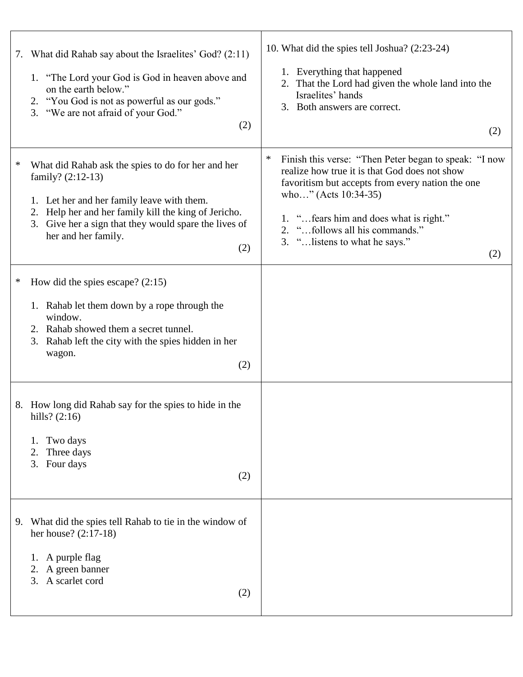|   | 7. What did Rahab say about the Israelites' God? (2:11)<br>1. "The Lord your God is God in heaven above and<br>on the earth below."<br>2. "You God is not as powerful as our gods."<br>3. "We are not afraid of your God."<br>(2)                                            | 10. What did the spies tell Joshua? (2:23-24)<br>1. Everything that happened<br>2. That the Lord had given the whole land into the<br>Israelites' hands<br>3. Both answers are correct.<br>(2)                                                                                                                     |
|---|------------------------------------------------------------------------------------------------------------------------------------------------------------------------------------------------------------------------------------------------------------------------------|--------------------------------------------------------------------------------------------------------------------------------------------------------------------------------------------------------------------------------------------------------------------------------------------------------------------|
| ∗ | What did Rahab ask the spies to do for her and her<br>family? $(2:12-13)$<br>1. Let her and her family leave with them.<br>Help her and her family kill the king of Jericho.<br>2.<br>Give her a sign that they would spare the lives of<br>3.<br>her and her family.<br>(2) | $\ast$<br>Finish this verse: "Then Peter began to speak: "I now<br>realize how true it is that God does not show<br>favoritism but accepts from every nation the one<br>who" (Acts 10:34-35)<br>1. " fears him and does what is right."<br>2. "follows all his commands."<br>3. " listens to what he says."<br>(2) |
| ∗ | How did the spies escape? $(2:15)$<br>1. Rahab let them down by a rope through the<br>window.<br>2. Rahab showed them a secret tunnel.<br>Rahab left the city with the spies hidden in her<br>3.<br>wagon.<br>(2)                                                            |                                                                                                                                                                                                                                                                                                                    |
|   | 8. How long did Rahab say for the spies to hide in the<br>hills? $(2:16)$<br>Two days<br>1.<br>Three days<br>2.<br>3. Four days<br>(2)                                                                                                                                       |                                                                                                                                                                                                                                                                                                                    |
|   | 9. What did the spies tell Rahab to tie in the window of<br>her house? $(2:17-18)$<br>1. A purple flag<br>2. A green banner<br>3. A scarlet cord<br>(2)                                                                                                                      |                                                                                                                                                                                                                                                                                                                    |